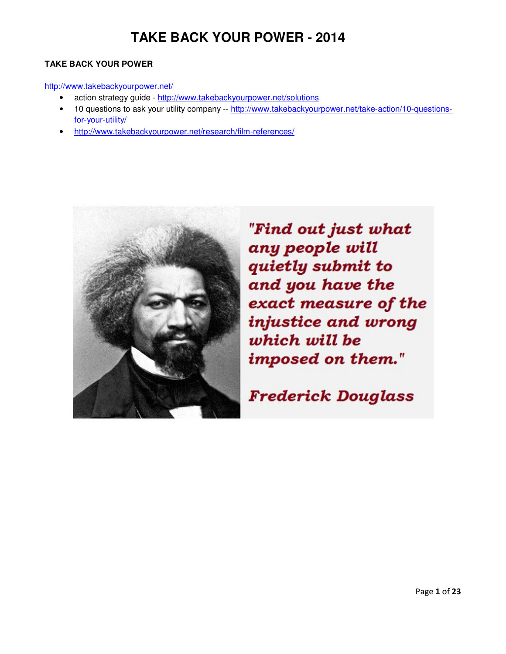#### **TAKE BACK YOUR POWER**

#### http://www.takebackyourpower.net/

- action strategy guide http://www.takebackyourpower.net/solutions
- 10 questions to ask your utility company -- http://www.takebackyourpower.net/take-action/10-questionsfor-your-utility/
- http://www.takebackyourpower.net/research/film-references/



"Find out just what any people will quietly submit to and you have the exact measure of the injustice and wrong which will be imposed on them."

**Frederick Douglass**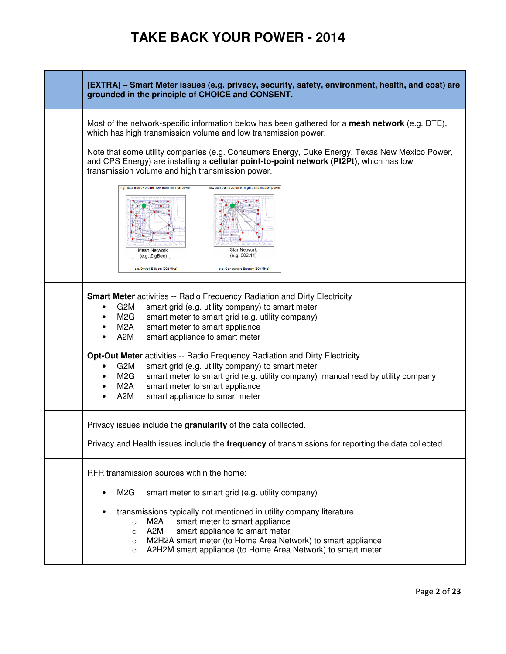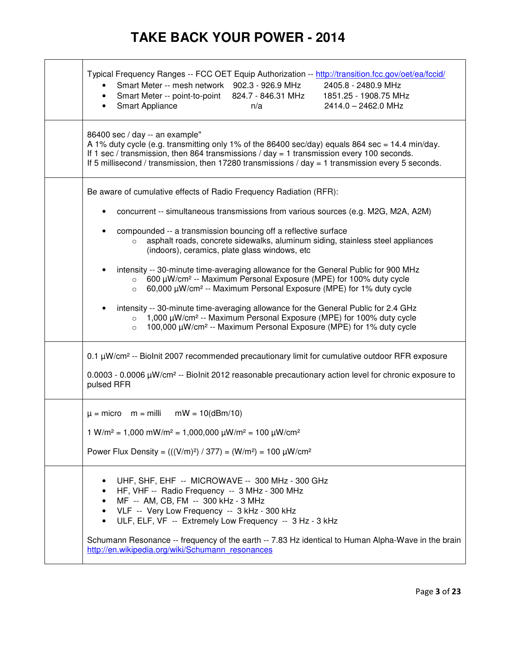| Typical Frequency Ranges -- FCC OET Equip Authorization -- http://transition.fcc.gov/oet/ea/fccid/<br>Smart Meter -- mesh network 902.3 - 926.9 MHz<br>2405.8 - 2480.9 MHz<br>Smart Meter -- point-to-point 824.7 - 846.31 MHz<br>1851.25 - 1908.75 MHz<br>٠<br>Smart Appliance<br>2414.0 - 2462.0 MHz<br>n/a                                                                                                             |
|---------------------------------------------------------------------------------------------------------------------------------------------------------------------------------------------------------------------------------------------------------------------------------------------------------------------------------------------------------------------------------------------------------------------------|
| 86400 sec / day -- an example"<br>A 1% duty cycle (e.g. transmitting only 1% of the 86400 sec/day) equals 864 sec = 14.4 min/day.<br>If 1 sec / transmission, then 864 transmissions / day = 1 transmission every 100 seconds.<br>If 5 millisecond / transmission, then 17280 transmissions / day = 1 transmission every 5 seconds.                                                                                       |
| Be aware of cumulative effects of Radio Frequency Radiation (RFR):                                                                                                                                                                                                                                                                                                                                                        |
| concurrent -- simultaneous transmissions from various sources (e.g. M2G, M2A, A2M)                                                                                                                                                                                                                                                                                                                                        |
| compounded -- a transmission bouncing off a reflective surface<br>asphalt roads, concrete sidewalks, aluminum siding, stainless steel appliances<br>$\Omega$<br>(indoors), ceramics, plate glass windows, etc.                                                                                                                                                                                                            |
| intensity -- 30-minute time-averaging allowance for the General Public for 900 MHz<br>600 µW/cm <sup>2</sup> -- Maximum Personal Exposure (MPE) for 100% duty cycle<br>$\circ$<br>60,000 µW/cm <sup>2</sup> -- Maximum Personal Exposure (MPE) for 1% duty cycle<br>$\circ$                                                                                                                                               |
| intensity -- 30-minute time-averaging allowance for the General Public for 2.4 GHz<br>1,000 μW/cm <sup>2</sup> -- Maximum Personal Exposure (MPE) for 100% duty cycle<br>$\circ$<br>100,000 μW/cm <sup>2</sup> -- Maximum Personal Exposure (MPE) for 1% duty cycle<br>$\circ$                                                                                                                                            |
| 0.1 µW/cm <sup>2</sup> -- Biolnit 2007 recommended precautionary limit for cumulative outdoor RFR exposure<br>$0.0003 - 0.0006 \mu W/cm^2 -$ Biolnit 2012 reasonable precautionary action level for chronic exposure to<br>pulsed RFR                                                                                                                                                                                     |
| $\mu$ = micro m = milli<br>$mW = 10(dBm/10)$                                                                                                                                                                                                                                                                                                                                                                              |
| $1 \text{ W/m}^2 = 1,000 \text{ mW/m}^2 = 1,000,000 \text{ \mu W/m}^2 = 100 \text{ \mu W/cm}^2$                                                                                                                                                                                                                                                                                                                           |
| Power Flux Density = $(((V/m)^2) / 377) = (W/m^2) = 100 \mu W/cm^2$                                                                                                                                                                                                                                                                                                                                                       |
| UHF, SHF, EHF -- MICROWAVE -- 300 MHz - 300 GHz<br>HF, VHF -- Radio Frequency -- 3 MHz - 300 MHz<br>MF -- AM, CB, FM -- 300 kHz - 3 MHz<br>VLF -- Very Low Frequency -- 3 kHz - 300 kHz<br>ULF, ELF, VF -- Extremely Low Frequency -- 3 Hz - 3 kHz<br>$\bullet$<br>Schumann Resonance -- frequency of the earth -- 7.83 Hz identical to Human Alpha-Wave in the brain<br>http://en.wikipedia.org/wiki/Schumann resonances |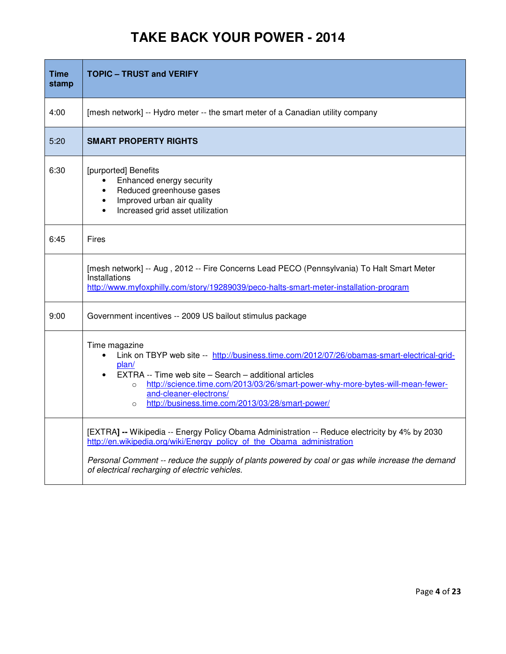| <b>Time</b><br>stamp | <b>TOPIC - TRUST and VERIFY</b>                                                                                                                                                                                                                                                                                                                                     |
|----------------------|---------------------------------------------------------------------------------------------------------------------------------------------------------------------------------------------------------------------------------------------------------------------------------------------------------------------------------------------------------------------|
| 4:00                 | [mesh network] -- Hydro meter -- the smart meter of a Canadian utility company                                                                                                                                                                                                                                                                                      |
| 5:20                 | <b>SMART PROPERTY RIGHTS</b>                                                                                                                                                                                                                                                                                                                                        |
| 6:30                 | [purported] Benefits<br>Enhanced energy security<br>Reduced greenhouse gases<br>Improved urban air quality<br>Increased grid asset utilization                                                                                                                                                                                                                      |
| 6:45                 | Fires                                                                                                                                                                                                                                                                                                                                                               |
|                      | [mesh network] -- Aug, 2012 -- Fire Concerns Lead PECO (Pennsylvania) To Halt Smart Meter<br>Installations<br>http://www.myfoxphilly.com/story/19289039/peco-halts-smart-meter-installation-program                                                                                                                                                                 |
| 9:00                 | Government incentives -- 2009 US bailout stimulus package                                                                                                                                                                                                                                                                                                           |
|                      | Time magazine<br>Link on TBYP web site -- http://business.time.com/2012/07/26/obamas-smart-electrical-grid-<br>plan/<br>EXTRA -- Time web site - Search - additional articles<br>http://science.time.com/2013/03/26/smart-power-why-more-bytes-will-mean-fewer-<br>$\circ$<br>and-cleaner-electrons/<br>http://business.time.com/2013/03/28/smart-power/<br>$\circ$ |
|                      | [EXTRA] -- Wikipedia -- Energy Policy Obama Administration -- Reduce electricity by 4% by 2030<br>http://en.wikipedia.org/wiki/Energy policy of the Obama administration<br>Personal Comment -- reduce the supply of plants powered by coal or gas while increase the demand<br>of electrical recharging of electric vehicles.                                      |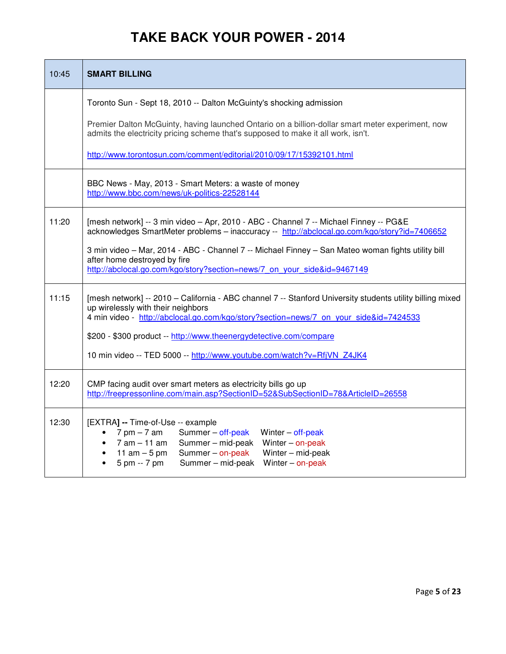| 10:45 | <b>SMART BILLING</b>                                                                                                                                                                                                                                                          |
|-------|-------------------------------------------------------------------------------------------------------------------------------------------------------------------------------------------------------------------------------------------------------------------------------|
|       | Toronto Sun - Sept 18, 2010 -- Dalton McGuinty's shocking admission                                                                                                                                                                                                           |
|       | Premier Dalton McGuinty, having launched Ontario on a billion-dollar smart meter experiment, now<br>admits the electricity pricing scheme that's supposed to make it all work, isn't.                                                                                         |
|       | http://www.torontosun.com/comment/editorial/2010/09/17/15392101.html                                                                                                                                                                                                          |
|       | BBC News - May, 2013 - Smart Meters: a waste of money<br>http://www.bbc.com/news/uk-politics-22528144                                                                                                                                                                         |
| 11:20 | [mesh network] -- 3 min video - Apr, 2010 - ABC - Channel 7 -- Michael Finney -- PG&E<br>acknowledges SmartMeter problems - inaccuracy -- http://abclocal.go.com/kgo/story?id=7406652                                                                                         |
|       | 3 min video - Mar, 2014 - ABC - Channel 7 -- Michael Finney - San Mateo woman fights utility bill<br>after home destroyed by fire<br>http://abclocal.go.com/kgo/story?section=news/7 on your side&id=9467149                                                                  |
| 11:15 | [mesh network] -- 2010 - California - ABC channel 7 -- Stanford University students utility billing mixed<br>up wirelessly with their neighbors<br>4 min video - http://abclocal.go.com/kgo/story?section=news/7 on your side&id=7424533                                      |
|       | \$200 - \$300 product -- http://www.theenergydetective.com/compare                                                                                                                                                                                                            |
|       | 10 min video -- TED 5000 -- http://www.youtube.com/watch?v=RfjVN_Z4JK4                                                                                                                                                                                                        |
| 12:20 | CMP facing audit over smart meters as electricity bills go up<br>http://freepressonline.com/main.asp?SectionID=52&SubSectionID=78&ArticleID=26558                                                                                                                             |
| 12:30 | [EXTRA] -- Time-of-Use -- example<br>$7$ pm $-7$ am<br>Summer - off-peak<br>Winter - off-peak<br>7 am – 11 am<br>Summer - mid-peak<br>Winter $-$ on-peak<br>11 am $-5$ pm<br>Summer - on-peak<br>Winter - mid-peak<br>5 pm -- 7 pm<br>Summer - mid-peak<br>Winter $-$ on-peak |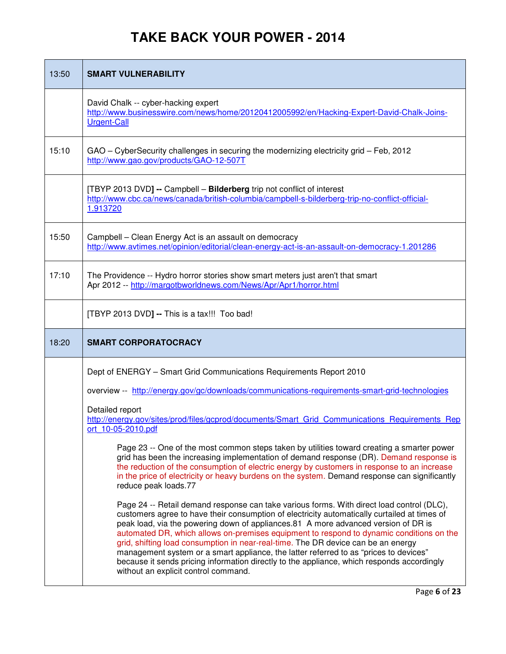| 13:50 | <b>SMART VULNERABILITY</b>                                                                                                                                                                                                                                                                                                                                                                                                                                                                                                                                                                                                                                                                      |
|-------|-------------------------------------------------------------------------------------------------------------------------------------------------------------------------------------------------------------------------------------------------------------------------------------------------------------------------------------------------------------------------------------------------------------------------------------------------------------------------------------------------------------------------------------------------------------------------------------------------------------------------------------------------------------------------------------------------|
|       | David Chalk -- cyber-hacking expert<br>http://www.businesswire.com/news/home/20120412005992/en/Hacking-Expert-David-Chalk-Joins-<br><b>Urgent-Call</b>                                                                                                                                                                                                                                                                                                                                                                                                                                                                                                                                          |
| 15:10 | GAO - CyberSecurity challenges in securing the modernizing electricity grid - Feb, 2012<br>http://www.gao.gov/products/GAO-12-507T                                                                                                                                                                                                                                                                                                                                                                                                                                                                                                                                                              |
|       | [TBYP 2013 DVD] -- Campbell - Bilderberg trip not conflict of interest<br>http://www.cbc.ca/news/canada/british-columbia/campbell-s-bilderberg-trip-no-conflict-official-<br>1.913720                                                                                                                                                                                                                                                                                                                                                                                                                                                                                                           |
| 15:50 | Campbell - Clean Energy Act is an assault on democracy<br>http://www.avtimes.net/opinion/editorial/clean-energy-act-is-an-assault-on-democracy-1.201286                                                                                                                                                                                                                                                                                                                                                                                                                                                                                                                                         |
| 17:10 | The Providence -- Hydro horror stories show smart meters just aren't that smart<br>Apr 2012 -- http://margotbworldnews.com/News/Apr/Apr1/horror.html                                                                                                                                                                                                                                                                                                                                                                                                                                                                                                                                            |
|       | [TBYP 2013 DVD] -- This is a tax!!! Too bad!                                                                                                                                                                                                                                                                                                                                                                                                                                                                                                                                                                                                                                                    |
| 18:20 | <b>SMART CORPORATOCRACY</b>                                                                                                                                                                                                                                                                                                                                                                                                                                                                                                                                                                                                                                                                     |
|       | Dept of ENERGY - Smart Grid Communications Requirements Report 2010                                                                                                                                                                                                                                                                                                                                                                                                                                                                                                                                                                                                                             |
|       | overview -- http://energy.gov/gc/downloads/communications-requirements-smart-grid-technologies                                                                                                                                                                                                                                                                                                                                                                                                                                                                                                                                                                                                  |
|       | Detailed report<br>http://energy.gov/sites/prod/files/gcprod/documents/Smart Grid Communications Requirements Rep<br>ort 10-05-2010.pdf                                                                                                                                                                                                                                                                                                                                                                                                                                                                                                                                                         |
|       | Page 23 -- One of the most common steps taken by utilities toward creating a smarter power<br>grid has been the increasing implementation of demand response (DR). Demand response is<br>the reduction of the consumption of electric energy by customers in response to an increase<br>in the price of electricity or heavy burdens on the system. Demand response can significantly<br>reduce peak loads.77                                                                                                                                                                                                                                                                                   |
|       | Page 24 -- Retail demand response can take various forms. With direct load control (DLC),<br>customers agree to have their consumption of electricity automatically curtailed at times of<br>peak load, via the powering down of appliances.81 A more advanced version of DR is<br>automated DR, which allows on-premises equipment to respond to dynamic conditions on the<br>grid, shifting load consumption in near-real-time. The DR device can be an energy<br>management system or a smart appliance, the latter referred to as "prices to devices"<br>because it sends pricing information directly to the appliance, which responds accordingly<br>without an explicit control command. |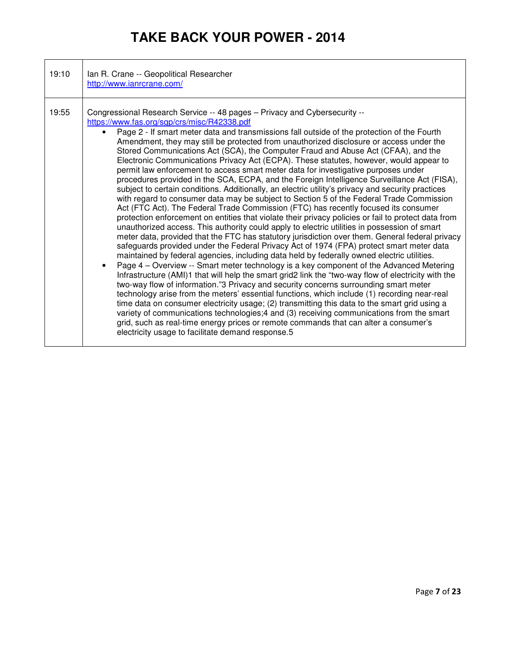| 19:10 | Ian R. Crane -- Geopolitical Researcher<br>http://www.ianrcrane.com/                                                                                                                                                                                                                                                                                                                                                                                                                                                                                                                                                                                                                                                                                                                                                                                                                                                                                                                                                                                                                                                                                                                                                                                                                                                                                                                                                                                                                                                                                                                                                                                                                                                                                                                                                                                                                                                                                                                                                                                                                                                                                                                                                                             |
|-------|--------------------------------------------------------------------------------------------------------------------------------------------------------------------------------------------------------------------------------------------------------------------------------------------------------------------------------------------------------------------------------------------------------------------------------------------------------------------------------------------------------------------------------------------------------------------------------------------------------------------------------------------------------------------------------------------------------------------------------------------------------------------------------------------------------------------------------------------------------------------------------------------------------------------------------------------------------------------------------------------------------------------------------------------------------------------------------------------------------------------------------------------------------------------------------------------------------------------------------------------------------------------------------------------------------------------------------------------------------------------------------------------------------------------------------------------------------------------------------------------------------------------------------------------------------------------------------------------------------------------------------------------------------------------------------------------------------------------------------------------------------------------------------------------------------------------------------------------------------------------------------------------------------------------------------------------------------------------------------------------------------------------------------------------------------------------------------------------------------------------------------------------------------------------------------------------------------------------------------------------------|
| 19:55 | Congressional Research Service -- 48 pages - Privacy and Cybersecurity --<br>https://www.fas.org/sgp/crs/misc/R42338.pdf<br>Page 2 - If smart meter data and transmissions fall outside of the protection of the Fourth<br>$\bullet$<br>Amendment, they may still be protected from unauthorized disclosure or access under the<br>Stored Communications Act (SCA), the Computer Fraud and Abuse Act (CFAA), and the<br>Electronic Communications Privacy Act (ECPA). These statutes, however, would appear to<br>permit law enforcement to access smart meter data for investigative purposes under<br>procedures provided in the SCA, ECPA, and the Foreign Intelligence Surveillance Act (FISA),<br>subject to certain conditions. Additionally, an electric utility's privacy and security practices<br>with regard to consumer data may be subject to Section 5 of the Federal Trade Commission<br>Act (FTC Act). The Federal Trade Commission (FTC) has recently focused its consumer<br>protection enforcement on entities that violate their privacy policies or fail to protect data from<br>unauthorized access. This authority could apply to electric utilities in possession of smart<br>meter data, provided that the FTC has statutory jurisdiction over them. General federal privacy<br>safeguards provided under the Federal Privacy Act of 1974 (FPA) protect smart meter data<br>maintained by federal agencies, including data held by federally owned electric utilities.<br>Page 4 – Overview -- Smart meter technology is a key component of the Advanced Metering<br>$\bullet$<br>Infrastructure (AMI)1 that will help the smart grid2 link the "two-way flow of electricity with the<br>two-way flow of information."3 Privacy and security concerns surrounding smart meter<br>technology arise from the meters' essential functions, which include (1) recording near-real<br>time data on consumer electricity usage; (2) transmitting this data to the smart grid using a<br>variety of communications technologies;4 and (3) receiving communications from the smart<br>grid, such as real-time energy prices or remote commands that can alter a consumer's<br>electricity usage to facilitate demand response.5 |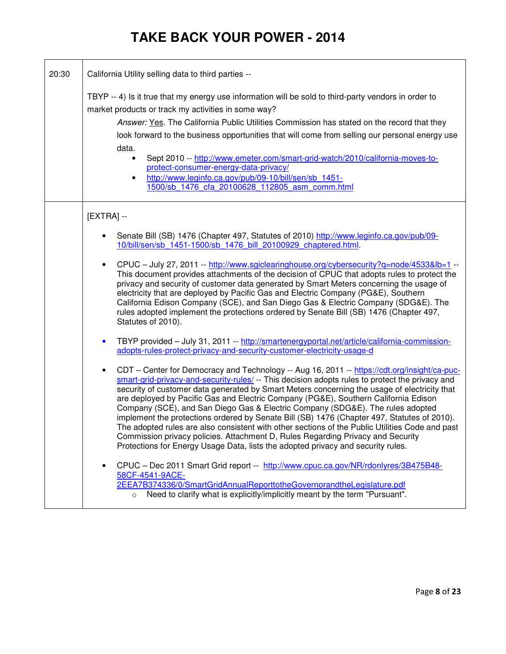| 20:30 | California Utility selling data to third parties --                                                                                                                                                                                                                                                                                                                                                                                                                                                                                                                                                                                                                                                                                                                                                                                                            |
|-------|----------------------------------------------------------------------------------------------------------------------------------------------------------------------------------------------------------------------------------------------------------------------------------------------------------------------------------------------------------------------------------------------------------------------------------------------------------------------------------------------------------------------------------------------------------------------------------------------------------------------------------------------------------------------------------------------------------------------------------------------------------------------------------------------------------------------------------------------------------------|
|       | TBYP -- 4) Is it true that my energy use information will be sold to third-party vendors in order to<br>market products or track my activities in some way?<br>Answer: Yes. The California Public Utilities Commission has stated on the record that they<br>look forward to the business opportunities that will come from selling our personal energy use<br>data.<br>Sept 2010 -- http://www.emeter.com/smart-grid-watch/2010/california-moves-to-<br>$\bullet$<br>protect-consumer-energy-data-privacy/<br>http://www.leginfo.ca.gov/pub/09-10/bill/sen/sb 1451-<br>$\bullet$<br>1500/sb 1476 cfa 20100628 112805 asm comm.html                                                                                                                                                                                                                            |
|       | $[EXTRA] -$                                                                                                                                                                                                                                                                                                                                                                                                                                                                                                                                                                                                                                                                                                                                                                                                                                                    |
|       | Senate Bill (SB) 1476 (Chapter 497, Statutes of 2010) http://www.leginfo.ca.gov/pub/09-<br>10/bill/sen/sb 1451-1500/sb 1476 bill 20100929 chaptered.html.                                                                                                                                                                                                                                                                                                                                                                                                                                                                                                                                                                                                                                                                                                      |
|       | CPUC - July 27, 2011 -- http://www.sgiclearinghouse.org/cybersecurity?q=node/4533&lb=1 --<br>$\bullet$<br>This document provides attachments of the decision of CPUC that adopts rules to protect the<br>privacy and security of customer data generated by Smart Meters concerning the usage of<br>electricity that are deployed by Pacific Gas and Electric Company (PG&E), Southern<br>California Edison Company (SCE), and San Diego Gas & Electric Company (SDG&E). The<br>rules adopted implement the protections ordered by Senate Bill (SB) 1476 (Chapter 497,<br>Statutes of 2010).                                                                                                                                                                                                                                                                   |
|       | TBYP provided - July 31, 2011 -- http://smartenergyportal.net/article/california-commission-<br>$\bullet$<br>adopts-rules-protect-privacy-and-security-customer-electricity-usage-d                                                                                                                                                                                                                                                                                                                                                                                                                                                                                                                                                                                                                                                                            |
|       | CDT - Center for Democracy and Technology -- Aug 16, 2011 -- https://cdt.org/insight/ca-puc-<br>$\bullet$<br>smart-grid-privacy-and-security-rules/ -- This decision adopts rules to protect the privacy and<br>security of customer data generated by Smart Meters concerning the usage of electricity that<br>are deployed by Pacific Gas and Electric Company (PG&E), Southern California Edison<br>Company (SCE), and San Diego Gas & Electric Company (SDG&E). The rules adopted<br>implement the protections ordered by Senate Bill (SB) 1476 (Chapter 497, Statutes of 2010).<br>The adopted rules are also consistent with other sections of the Public Utilities Code and past<br>Commission privacy policies. Attachment D, Rules Regarding Privacy and Security<br>Protections for Energy Usage Data, lists the adopted privacy and security rules. |
|       | CPUC - Dec 2011 Smart Grid report -- http://www.cpuc.ca.gov/NR/rdonlyres/3B475B48-<br>$\bullet$<br>58CF-4541-9ACE-<br>2EEA7B374336/0/SmartGridAnnualReporttotheGovernorandtheLegislature.pdf<br>Need to clarify what is explicitly/implicitly meant by the term "Pursuant".<br>$\circ$                                                                                                                                                                                                                                                                                                                                                                                                                                                                                                                                                                         |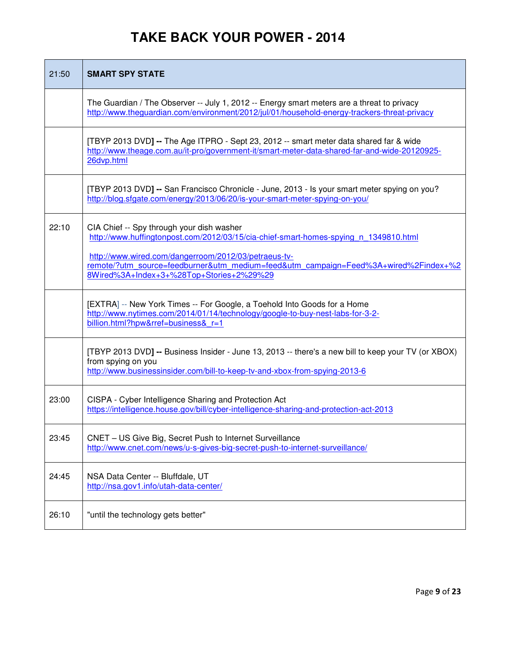| 21:50 | <b>SMART SPY STATE</b>                                                                                                                                                                                                                                                           |
|-------|----------------------------------------------------------------------------------------------------------------------------------------------------------------------------------------------------------------------------------------------------------------------------------|
|       | The Guardian / The Observer -- July 1, 2012 -- Energy smart meters are a threat to privacy<br>http://www.theguardian.com/environment/2012/jul/01/household-energy-trackers-threat-privacy                                                                                        |
|       | [TBYP 2013 DVD] -- The Age ITPRO - Sept 23, 2012 -- smart meter data shared far & wide<br>http://www.theage.com.au/it-pro/government-it/smart-meter-data-shared-far-and-wide-20120925-<br>26dvp.html                                                                             |
|       | [TBYP 2013 DVD] -- San Francisco Chronicle - June, 2013 - Is your smart meter spying on you?<br>http://blog.sfgate.com/energy/2013/06/20/is-your-smart-meter-spying-on-you/                                                                                                      |
| 22:10 | CIA Chief -- Spy through your dish washer<br>http://www.huffingtonpost.com/2012/03/15/cia-chief-smart-homes-spying n 1349810.html<br>http://www.wired.com/dangerroom/2012/03/petraeus-tv-<br>remote/?utm_source=feedburner&utm_medium=feed&utm_campaign=Feed%3A+wired%2Findex+%2 |
|       | 8Wired%3A+Index+3+%28Top+Stories+2%29%29                                                                                                                                                                                                                                         |
|       | [EXTRA] -- New York Times -- For Google, a Toehold Into Goods for a Home<br>http://www.nytimes.com/2014/01/14/technology/google-to-buy-nest-labs-for-3-2-<br>billion.html?hpw&rref=business& r=1                                                                                 |
|       | [TBYP 2013 DVD] -- Business Insider - June 13, 2013 -- there's a new bill to keep your TV (or XBOX)<br>from spying on you<br>http://www.businessinsider.com/bill-to-keep-tv-and-xbox-from-spying-2013-6                                                                          |
| 23:00 | CISPA - Cyber Intelligence Sharing and Protection Act<br>https://intelligence.house.gov/bill/cyber-intelligence-sharing-and-protection-act-2013                                                                                                                                  |
| 23:45 | CNET - US Give Big, Secret Push to Internet Surveillance<br>http://www.cnet.com/news/u-s-gives-big-secret-push-to-internet-surveillance/                                                                                                                                         |
| 24:45 | NSA Data Center -- Bluffdale, UT<br>http://nsa.gov1.info/utah-data-center/                                                                                                                                                                                                       |
| 26:10 | "until the technology gets better"                                                                                                                                                                                                                                               |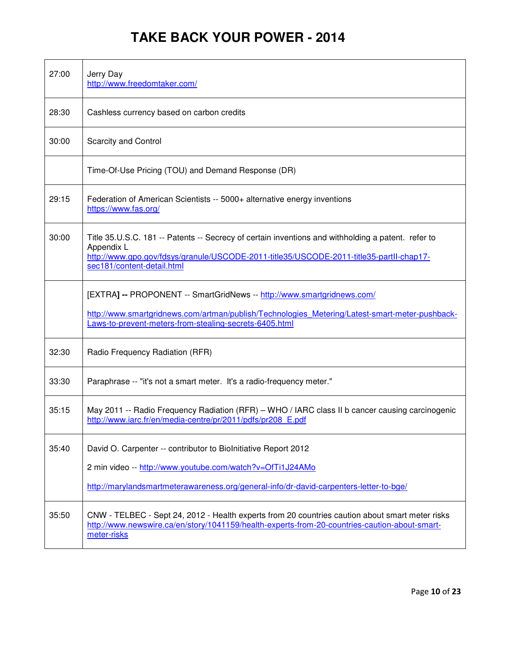| 27:00 | Jerry Day<br>http://www.freedomtaker.com/                                                                                                                                                                                                 |
|-------|-------------------------------------------------------------------------------------------------------------------------------------------------------------------------------------------------------------------------------------------|
| 28:30 | Cashless currency based on carbon credits                                                                                                                                                                                                 |
| 30:00 | <b>Scarcity and Control</b>                                                                                                                                                                                                               |
|       | Time-Of-Use Pricing (TOU) and Demand Response (DR)                                                                                                                                                                                        |
| 29:15 | Federation of American Scientists -- 5000+ alternative energy inventions<br>https://www.fas.org/                                                                                                                                          |
| 30:00 | Title 35.U.S.C. 181 -- Patents -- Secrecy of certain inventions and withholding a patent. refer to<br>Appendix L<br>http://www.gpo.gov/fdsys/granule/USCODE-2011-title35/USCODE-2011-title35-partll-chap17-<br>sec181/content-detail.html |
|       | [EXTRA] -- PROPONENT -- SmartGridNews -- http://www.smartgridnews.com/<br>http://www.smartgridnews.com/artman/publish/Technologies Metering/Latest-smart-meter-pushback-<br>Laws-to-prevent-meters-from-stealing-secrets-6405.html        |
| 32:30 | Radio Frequency Radiation (RFR)                                                                                                                                                                                                           |
| 33:30 | Paraphrase -- "it's not a smart meter. It's a radio-frequency meter."                                                                                                                                                                     |
| 35:15 | May 2011 -- Radio Frequency Radiation (RFR) - WHO / IARC class II b cancer causing carcinogenic<br>http://www.iarc.fr/en/media-centre/pr/2011/pdfs/pr208 E.pdf                                                                            |
| 35:40 | David O. Carpenter -- contributor to Biolnitiative Report 2012<br>2 min video -- http://www.youtube.com/watch?v=OfTi1J24AMo<br>http://marylandsmartmeterawareness.org/general-info/dr-david-carpenters-letter-to-bge/                     |
| 35:50 | CNW - TELBEC - Sept 24, 2012 - Health experts from 20 countries caution about smart meter risks<br>http://www.newswire.ca/en/story/1041159/health-experts-from-20-countries-caution-about-smart-<br>meter-risks                           |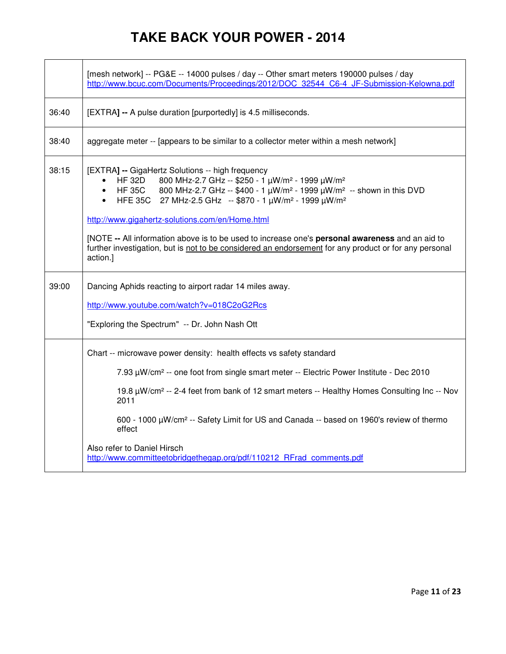|       | [mesh network] -- PG&E -- 14000 pulses / day -- Other smart meters 190000 pulses / day<br>http://www.bcuc.com/Documents/Proceedings/2012/DOC 32544 C6-4 JF-Submission-Kelowna.pdf                                                                                                                                                                                                                                                                                                                     |
|-------|-------------------------------------------------------------------------------------------------------------------------------------------------------------------------------------------------------------------------------------------------------------------------------------------------------------------------------------------------------------------------------------------------------------------------------------------------------------------------------------------------------|
| 36:40 | [EXTRA] -- A pulse duration [purportedly] is 4.5 milliseconds.                                                                                                                                                                                                                                                                                                                                                                                                                                        |
| 38:40 | aggregate meter -- [appears to be similar to a collector meter within a mesh network]                                                                                                                                                                                                                                                                                                                                                                                                                 |
| 38:15 | [EXTRA] -- GigaHertz Solutions -- high frequency<br>800 MHz-2.7 GHz -- \$250 - 1 μW/m <sup>2</sup> - 1999 μW/m <sup>2</sup><br><b>HF 32D</b><br>HF 35C 800 MHz-2.7 GHz -- \$400 - 1 $\mu$ W/m <sup>2</sup> - 1999 $\mu$ W/m <sup>2</sup> -- shown in this DVD<br>HFE 35C 27 MHz-2.5 GHz -- \$870 - 1 μW/m <sup>2</sup> - 1999 μW/m <sup>2</sup><br>http://www.gigahertz-solutions.com/en/Home.html<br>[NOTE -- All information above is to be used to increase one's personal awareness and an aid to |
|       | further investigation, but is not to be considered an endorsement for any product or for any personal<br>action.]                                                                                                                                                                                                                                                                                                                                                                                     |
| 39:00 | Dancing Aphids reacting to airport radar 14 miles away.                                                                                                                                                                                                                                                                                                                                                                                                                                               |
|       | http://www.youtube.com/watch?v=018C2oG2Rcs                                                                                                                                                                                                                                                                                                                                                                                                                                                            |
|       | "Exploring the Spectrum" -- Dr. John Nash Ott                                                                                                                                                                                                                                                                                                                                                                                                                                                         |
|       | Chart -- microwave power density: health effects vs safety standard                                                                                                                                                                                                                                                                                                                                                                                                                                   |
|       | 7.93 µW/cm <sup>2</sup> -- one foot from single smart meter -- Electric Power Institute - Dec 2010                                                                                                                                                                                                                                                                                                                                                                                                    |
|       | 19.8 $\mu$ W/cm <sup>2</sup> -- 2-4 feet from bank of 12 smart meters -- Healthy Homes Consulting Inc -- Nov<br>2011                                                                                                                                                                                                                                                                                                                                                                                  |
|       | 600 - 1000 µW/cm <sup>2</sup> -- Safety Limit for US and Canada -- based on 1960's review of thermo<br>effect                                                                                                                                                                                                                                                                                                                                                                                         |
|       | Also refer to Daniel Hirsch<br>http://www.committeetobridgethegap.org/pdf/110212 RFrad comments.pdf                                                                                                                                                                                                                                                                                                                                                                                                   |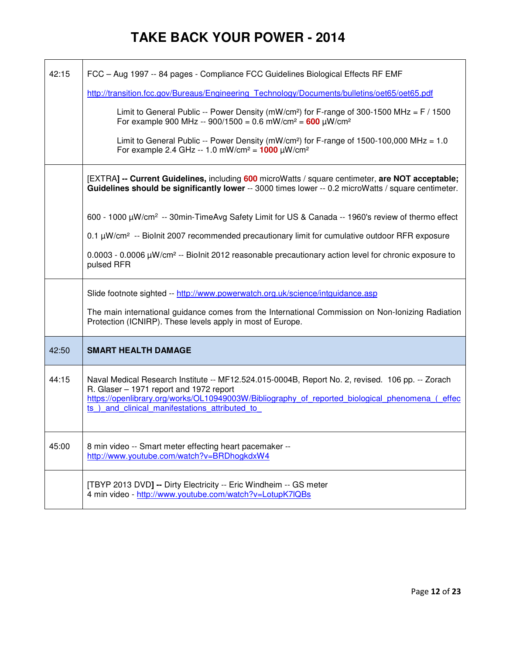| 42:15 | FCC - Aug 1997 -- 84 pages - Compliance FCC Guidelines Biological Effects RF EMF<br>http://transition.fcc.gov/Bureaus/Engineering Technology/Documents/bulletins/oet65/oet65.pdf                                                                                                               |
|-------|------------------------------------------------------------------------------------------------------------------------------------------------------------------------------------------------------------------------------------------------------------------------------------------------|
|       | Limit to General Public -- Power Density (mW/cm <sup>2</sup> ) for F-range of 300-1500 MHz = $F/1500$<br>For example 900 MHz -- 900/1500 = 0.6 mW/cm <sup>2</sup> = 600 uW/cm <sup>2</sup>                                                                                                     |
|       | Limit to General Public -- Power Density (mW/cm <sup>2</sup> ) for F-range of 1500-100,000 MHz = 1.0<br>For example 2.4 GHz -- 1.0 mW/cm <sup>2</sup> = $1000 \mu W/cm^2$                                                                                                                      |
|       | [EXTRA] -- Current Guidelines, including 600 microWatts / square centimeter, are NOT acceptable;<br>Guidelines should be significantly lower -- 3000 times lower -- 0.2 microWatts / square centimeter.                                                                                        |
|       | 600 - 1000 $\mu$ W/cm <sup>2</sup> -- 30min-TimeAvg Safety Limit for US & Canada -- 1960's review of thermo effect                                                                                                                                                                             |
|       | 0.1 µW/cm <sup>2</sup> -- Biolnit 2007 recommended precautionary limit for cumulative outdoor RFR exposure                                                                                                                                                                                     |
|       | $0.0003 - 0.0006 \mu W/cm^2 -$ Biolnit 2012 reasonable precautionary action level for chronic exposure to<br>pulsed RFR                                                                                                                                                                        |
|       | Slide footnote sighted -- http://www.powerwatch.org.uk/science/intguidance.asp                                                                                                                                                                                                                 |
|       | The main international guidance comes from the International Commission on Non-Ionizing Radiation<br>Protection (ICNIRP). These levels apply in most of Europe.                                                                                                                                |
| 42:50 | <b>SMART HEALTH DAMAGE</b>                                                                                                                                                                                                                                                                     |
| 44:15 | Naval Medical Research Institute -- MF12.524.015-0004B, Report No. 2, revised. 106 pp. -- Zorach<br>R. Glaser - 1971 report and 1972 report<br>https://openlibrary.org/works/OL10949003W/Bibliography of reported biological phenomena (effec<br>ts) and clinical manifestations attributed to |
| 45:00 | 8 min video -- Smart meter effecting heart pacemaker --<br>http://www.youtube.com/watch?v=BRDhogkdxW4                                                                                                                                                                                          |
|       | [TBYP 2013 DVD] -- Dirty Electricity -- Eric Windheim -- GS meter<br>4 min video - http://www.youtube.com/watch?v=LotupK7lQBs                                                                                                                                                                  |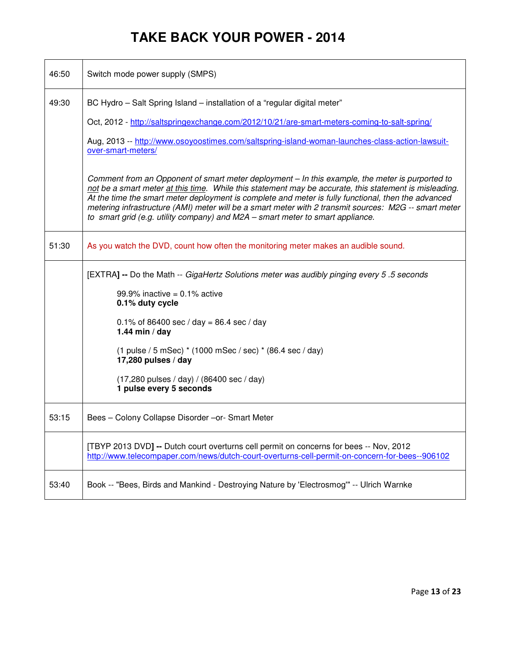| 46:50 | Switch mode power supply (SMPS)                                                                                                                                                                                                                                                                                                                                                                                                                                                                             |
|-------|-------------------------------------------------------------------------------------------------------------------------------------------------------------------------------------------------------------------------------------------------------------------------------------------------------------------------------------------------------------------------------------------------------------------------------------------------------------------------------------------------------------|
| 49:30 | BC Hydro - Salt Spring Island - installation of a "regular digital meter"                                                                                                                                                                                                                                                                                                                                                                                                                                   |
|       | Oct, 2012 - http://saltspringexchange.com/2012/10/21/are-smart-meters-coming-to-salt-spring/                                                                                                                                                                                                                                                                                                                                                                                                                |
|       | Aug, 2013 -- http://www.osoyoostimes.com/saltspring-island-woman-launches-class-action-lawsuit-<br>over-smart-meters/                                                                                                                                                                                                                                                                                                                                                                                       |
|       | Comment from an Opponent of smart meter deployment - In this example, the meter is purported to<br>not be a smart meter at this time. While this statement may be accurate, this statement is misleading.<br>At the time the smart meter deployment is complete and meter is fully functional, then the advanced<br>metering infrastructure (AMI) meter will be a smart meter with 2 transmit sources: M2G -- smart meter<br>to smart grid (e.g. utility company) and M2A - smart meter to smart appliance. |
| 51:30 | As you watch the DVD, count how often the monitoring meter makes an audible sound.                                                                                                                                                                                                                                                                                                                                                                                                                          |
|       | [EXTRA] -- Do the Math -- GigaHertz Solutions meter was audibly pinging every 5.5 seconds                                                                                                                                                                                                                                                                                                                                                                                                                   |
|       | 99.9% inactive = $0.1\%$ active<br>0.1% duty cycle                                                                                                                                                                                                                                                                                                                                                                                                                                                          |
|       | 0.1% of 86400 sec / day = 86.4 sec / day<br>1.44 min / day                                                                                                                                                                                                                                                                                                                                                                                                                                                  |
|       | (1 pulse / 5 mSec) * (1000 mSec / sec) * (86.4 sec / day)<br>17,280 pulses / day                                                                                                                                                                                                                                                                                                                                                                                                                            |
|       | $(17,280 \text{ pulses} / \text{day}) / (86400 \text{ sec} / \text{day})$<br>1 pulse every 5 seconds                                                                                                                                                                                                                                                                                                                                                                                                        |
| 53:15 | Bees - Colony Collapse Disorder - or- Smart Meter                                                                                                                                                                                                                                                                                                                                                                                                                                                           |
|       | [TBYP 2013 DVD] -- Dutch court overturns cell permit on concerns for bees -- Nov, 2012<br>http://www.telecompaper.com/news/dutch-court-overturns-cell-permit-on-concern-for-bees--906102                                                                                                                                                                                                                                                                                                                    |
| 53:40 | Book -- "Bees, Birds and Mankind - Destroying Nature by 'Electrosmog'" -- Ulrich Warnke                                                                                                                                                                                                                                                                                                                                                                                                                     |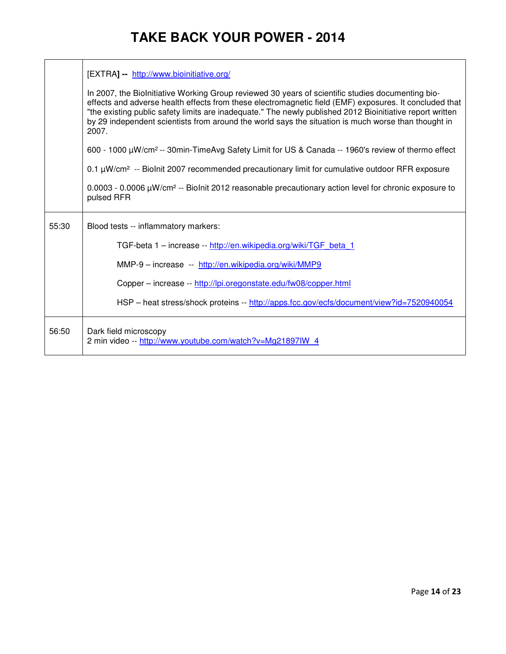|       | [EXTRA] -- http://www.bioinitiative.org/<br>In 2007, the BioInitiative Working Group reviewed 30 years of scientific studies documenting bio-<br>effects and adverse health effects from these electromagnetic field (EMF) exposures. It concluded that<br>"the existing public safety limits are inadequate." The newly published 2012 Bioinitiative report written<br>by 29 independent scientists from around the world says the situation is much worse than thought in<br>2007.<br>600 - 1000 µW/cm <sup>2</sup> -- 30min-TimeAvg Safety Limit for US & Canada -- 1960's review of thermo effect |
|-------|-------------------------------------------------------------------------------------------------------------------------------------------------------------------------------------------------------------------------------------------------------------------------------------------------------------------------------------------------------------------------------------------------------------------------------------------------------------------------------------------------------------------------------------------------------------------------------------------------------|
|       | 0.1 µW/cm <sup>2</sup> -- Biolnit 2007 recommended precautionary limit for cumulative outdoor RFR exposure                                                                                                                                                                                                                                                                                                                                                                                                                                                                                            |
|       | $0.0003$ - 0.0006 $\mu$ W/cm <sup>2</sup> -- Biolnit 2012 reasonable precautionary action level for chronic exposure to<br>pulsed RFR                                                                                                                                                                                                                                                                                                                                                                                                                                                                 |
| 55:30 | Blood tests -- inflammatory markers:                                                                                                                                                                                                                                                                                                                                                                                                                                                                                                                                                                  |
|       | TGF-beta 1 - increase -- http://en.wikipedia.org/wiki/TGF beta 1                                                                                                                                                                                                                                                                                                                                                                                                                                                                                                                                      |
|       | MMP-9 - increase -- http://en.wikipedia.org/wiki/MMP9                                                                                                                                                                                                                                                                                                                                                                                                                                                                                                                                                 |
|       | Copper – increase -- http://lpi.oregonstate.edu/fw08/copper.html                                                                                                                                                                                                                                                                                                                                                                                                                                                                                                                                      |
|       | HSP - heat stress/shock proteins -- http://apps.fcc.gov/ecfs/document/view?id=7520940054                                                                                                                                                                                                                                                                                                                                                                                                                                                                                                              |
| 56:50 | Dark field microscopy<br>2 min video -- http://www.youtube.com/watch?v=Mg21897IW 4                                                                                                                                                                                                                                                                                                                                                                                                                                                                                                                    |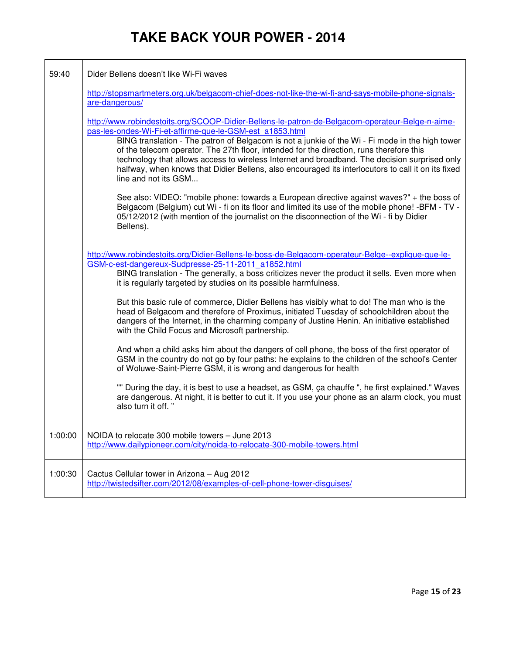| 59:40   | Dider Bellens doesn't like Wi-Fi waves                                                                                                                                                                                                                                                                                                                                                                                                                                                                                                                                                    |
|---------|-------------------------------------------------------------------------------------------------------------------------------------------------------------------------------------------------------------------------------------------------------------------------------------------------------------------------------------------------------------------------------------------------------------------------------------------------------------------------------------------------------------------------------------------------------------------------------------------|
|         | http://stopsmartmeters.org.uk/belgacom-chief-does-not-like-the-wi-fi-and-says-mobile-phone-signals-<br>are-dangerous/                                                                                                                                                                                                                                                                                                                                                                                                                                                                     |
|         | http://www.robindestoits.org/SCOOP-Didier-Bellens-le-patron-de-Belgacom-operateur-Belge-n-aime-<br>pas-les-ondes-Wi-Fi-et-affirme-que-le-GSM-est a1853.html<br>BING translation - The patron of Belgacom is not a junkie of the Wi - Fi mode in the high tower<br>of the telecom operator. The 27th floor, intended for the direction, runs therefore this<br>technology that allows access to wireless Internet and broadband. The decision surprised only<br>halfway, when knows that Didier Bellens, also encouraged its interlocutors to call it on its fixed<br>line and not its GSM |
|         | See also: VIDEO: "mobile phone: towards a European directive against waves?" + the boss of<br>Belgacom (Belgium) cut Wi - fi on its floor and limited its use of the mobile phone! -BFM - TV -<br>05/12/2012 (with mention of the journalist on the disconnection of the Wi - fi by Didier<br>Bellens).                                                                                                                                                                                                                                                                                   |
|         | http://www.robindestoits.org/Didier-Bellens-le-boss-de-Belgacom-operateur-Belge--explique-que-le-<br>GSM-c-est-dangereux-Sudpresse-25-11-2011 a1852.html<br>BING translation - The generally, a boss criticizes never the product it sells. Even more when<br>it is regularly targeted by studies on its possible harmfulness.                                                                                                                                                                                                                                                            |
|         | But this basic rule of commerce, Didier Bellens has visibly what to do! The man who is the<br>head of Belgacom and therefore of Proximus, initiated Tuesday of schoolchildren about the<br>dangers of the Internet, in the charming company of Justine Henin. An initiative established<br>with the Child Focus and Microsoft partnership.                                                                                                                                                                                                                                                |
|         | And when a child asks him about the dangers of cell phone, the boss of the first operator of<br>GSM in the country do not go by four paths: he explains to the children of the school's Center<br>of Woluwe-Saint-Pierre GSM, it is wrong and dangerous for health                                                                                                                                                                                                                                                                                                                        |
|         | "" During the day, it is best to use a headset, as GSM, ca chauffe ", he first explained." Waves<br>are dangerous. At night, it is better to cut it. If you use your phone as an alarm clock, you must<br>also turn it off."                                                                                                                                                                                                                                                                                                                                                              |
| 1:00:00 | NOIDA to relocate 300 mobile towers - June 2013<br>http://www.dailypioneer.com/city/noida-to-relocate-300-mobile-towers.html                                                                                                                                                                                                                                                                                                                                                                                                                                                              |
| 1:00:30 | Cactus Cellular tower in Arizona - Aug 2012<br>http://twistedsifter.com/2012/08/examples-of-cell-phone-tower-disguises/                                                                                                                                                                                                                                                                                                                                                                                                                                                                   |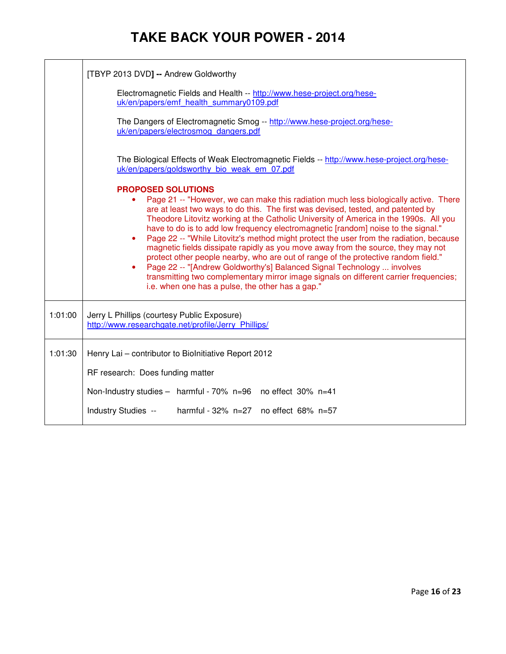|                                                                                                                                           | [TBYP 2013 DVD] -- Andrew Goldworthy                                                                                                                                                                                                                                                                                                                                                                                                                                                                                                                                                                                                                                                                                                                                                                                                                                                        |  |  |
|-------------------------------------------------------------------------------------------------------------------------------------------|---------------------------------------------------------------------------------------------------------------------------------------------------------------------------------------------------------------------------------------------------------------------------------------------------------------------------------------------------------------------------------------------------------------------------------------------------------------------------------------------------------------------------------------------------------------------------------------------------------------------------------------------------------------------------------------------------------------------------------------------------------------------------------------------------------------------------------------------------------------------------------------------|--|--|
|                                                                                                                                           | Electromagnetic Fields and Health -- http://www.hese-project.org/hese-<br>uk/en/papers/emf health summary0109.pdf                                                                                                                                                                                                                                                                                                                                                                                                                                                                                                                                                                                                                                                                                                                                                                           |  |  |
|                                                                                                                                           | The Dangers of Electromagnetic Smog -- http://www.hese-project.org/hese-<br>uk/en/papers/electrosmog_dangers.pdf                                                                                                                                                                                                                                                                                                                                                                                                                                                                                                                                                                                                                                                                                                                                                                            |  |  |
| The Biological Effects of Weak Electromagnetic Fields -- http://www.hese-project.org/hese-<br>uk/en/papers/goldsworthy bio weak em 07.pdf |                                                                                                                                                                                                                                                                                                                                                                                                                                                                                                                                                                                                                                                                                                                                                                                                                                                                                             |  |  |
|                                                                                                                                           | <b>PROPOSED SOLUTIONS</b><br>Page 21 -- "However, we can make this radiation much less biologically active. There<br>are at least two ways to do this. The first was devised, tested, and patented by<br>Theodore Litovitz working at the Catholic University of America in the 1990s. All you<br>have to do is to add low frequency electromagnetic [random] noise to the signal."<br>Page 22 -- "While Litovitz's method might protect the user from the radiation, because<br>$\bullet$<br>magnetic fields dissipate rapidly as you move away from the source, they may not<br>protect other people nearby, who are out of range of the protective random field."<br>Page 22 -- "[Andrew Goldworthy's] Balanced Signal Technology  involves<br>transmitting two complementary mirror image signals on different carrier frequencies;<br>i.e. when one has a pulse, the other has a gap." |  |  |
| 1:01:00                                                                                                                                   | Jerry L Phillips (courtesy Public Exposure)<br>http://www.researchgate.net/profile/Jerry Phillips/                                                                                                                                                                                                                                                                                                                                                                                                                                                                                                                                                                                                                                                                                                                                                                                          |  |  |
| 1:01:30                                                                                                                                   | Henry Lai - contributor to Biolnitiative Report 2012                                                                                                                                                                                                                                                                                                                                                                                                                                                                                                                                                                                                                                                                                                                                                                                                                                        |  |  |
|                                                                                                                                           | RF research: Does funding matter                                                                                                                                                                                                                                                                                                                                                                                                                                                                                                                                                                                                                                                                                                                                                                                                                                                            |  |  |
|                                                                                                                                           | Non-Industry studies - harmful - 70% n=96 no effect 30% n=41                                                                                                                                                                                                                                                                                                                                                                                                                                                                                                                                                                                                                                                                                                                                                                                                                                |  |  |
|                                                                                                                                           | Industry Studies --<br>harmful - 32% n=27 no effect 68% n=57                                                                                                                                                                                                                                                                                                                                                                                                                                                                                                                                                                                                                                                                                                                                                                                                                                |  |  |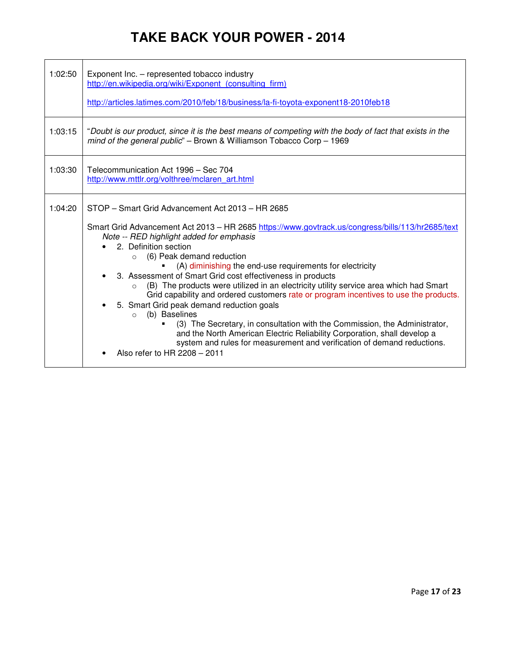| 1:02:50 | Exponent Inc. - represented tobacco industry<br>http://en.wikipedia.org/wiki/Exponent (consulting firm)<br>http://articles.latimes.com/2010/feb/18/business/la-fi-toyota-exponent18-2010feb18                                                                                                               |  |
|---------|-------------------------------------------------------------------------------------------------------------------------------------------------------------------------------------------------------------------------------------------------------------------------------------------------------------|--|
|         |                                                                                                                                                                                                                                                                                                             |  |
| 1:03:15 | "Doubt is our product, since it is the best means of competing with the body of fact that exists in the<br>mind of the general public" - Brown & Williamson Tobacco Corp - 1969                                                                                                                             |  |
| 1:03:30 | Telecommunication Act 1996 - Sec 704<br>http://www.mttlr.org/volthree/mclaren_art.html                                                                                                                                                                                                                      |  |
| 1:04:20 | STOP - Smart Grid Advancement Act 2013 - HR 2685<br>Smart Grid Advancement Act 2013 - HR 2685 https://www.govtrack.us/congress/bills/113/hr2685/text<br>Note -- RED highlight added for emphasis                                                                                                            |  |
|         |                                                                                                                                                                                                                                                                                                             |  |
|         | 2. Definition section                                                                                                                                                                                                                                                                                       |  |
|         | $\circ$ (6) Peak demand reduction<br>(A) diminishing the end-use requirements for electricity                                                                                                                                                                                                               |  |
|         | 3. Assessment of Smart Grid cost effectiveness in products<br>$\bullet$<br>(B) The products were utilized in an electricity utility service area which had Smart<br>$\Omega$<br>Grid capability and ordered customers rate or program incentives to use the products.                                       |  |
|         | 5. Smart Grid peak demand reduction goals<br>(b) Baselines<br>$\Omega$<br>(3) The Secretary, in consultation with the Commission, the Administrator,<br>and the North American Electric Reliability Corporation, shall develop a<br>system and rules for measurement and verification of demand reductions. |  |
|         | Also refer to HR 2208 - 2011                                                                                                                                                                                                                                                                                |  |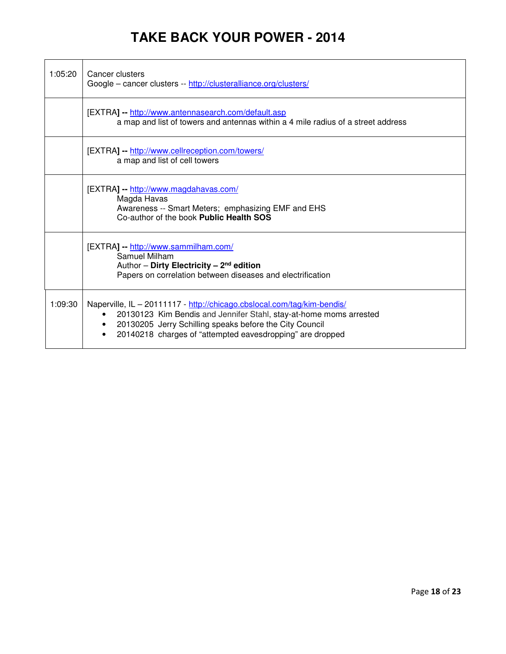| 1:05:20 | Cancer clusters<br>Google - cancer clusters -- http://clusteralliance.org/clusters/                                                                                                                                                                                   |
|---------|-----------------------------------------------------------------------------------------------------------------------------------------------------------------------------------------------------------------------------------------------------------------------|
|         | [EXTRA] -- http://www.antennasearch.com/default.asp<br>a map and list of towers and antennas within a 4 mile radius of a street address                                                                                                                               |
|         | [EXTRA] -- http://www.cellreception.com/towers/<br>a map and list of cell towers                                                                                                                                                                                      |
|         | [EXTRA] -- http://www.magdahavas.com/<br>Magda Havas<br>Awareness -- Smart Meters; emphasizing EMF and EHS<br>Co-author of the book Public Health SOS                                                                                                                 |
|         | [EXTRA] -- http://www.sammilham.com/<br>Samuel Milham<br>Author - Dirty Electricity - $2^{nd}$ edition<br>Papers on correlation between diseases and electrification                                                                                                  |
| 1:09:30 | Naperville, IL - 20111117 - http://chicago.cbslocal.com/tag/kim-bendis/<br>20130123 Kim Bendis and Jennifer Stahl, stay-at-home moms arrested<br>20130205 Jerry Schilling speaks before the City Council<br>20140218 charges of "attempted eavesdropping" are dropped |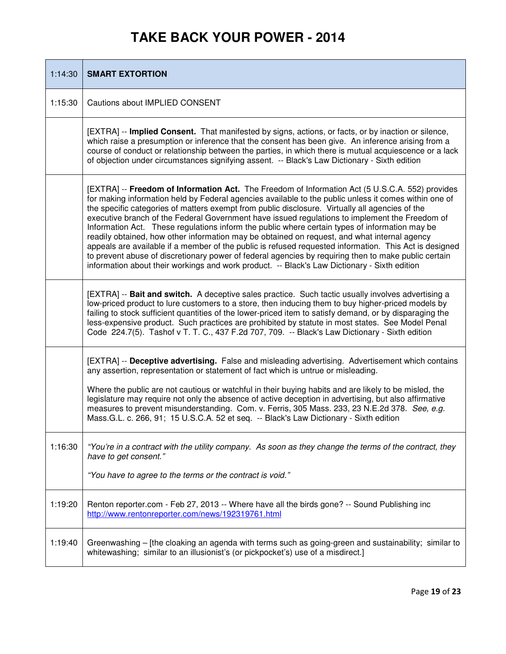| 1:14:30 | <b>SMART EXTORTION</b>                                                                                                                                                                                                                                                                                                                                                                                                                                                                                                                                                                                                                                                                                                                                                                                                                                                                                                            |
|---------|-----------------------------------------------------------------------------------------------------------------------------------------------------------------------------------------------------------------------------------------------------------------------------------------------------------------------------------------------------------------------------------------------------------------------------------------------------------------------------------------------------------------------------------------------------------------------------------------------------------------------------------------------------------------------------------------------------------------------------------------------------------------------------------------------------------------------------------------------------------------------------------------------------------------------------------|
| 1:15:30 | Cautions about IMPLIED CONSENT                                                                                                                                                                                                                                                                                                                                                                                                                                                                                                                                                                                                                                                                                                                                                                                                                                                                                                    |
|         | [EXTRA] -- Implied Consent. That manifested by signs, actions, or facts, or by inaction or silence,<br>which raise a presumption or inference that the consent has been give. An inference arising from a<br>course of conduct or relationship between the parties, in which there is mutual acquiescence or a lack<br>of objection under circumstances signifying assent. -- Black's Law Dictionary - Sixth edition                                                                                                                                                                                                                                                                                                                                                                                                                                                                                                              |
|         | [EXTRA] -- Freedom of Information Act. The Freedom of Information Act (5 U.S.C.A. 552) provides<br>for making information held by Federal agencies available to the public unless it comes within one of<br>the specific categories of matters exempt from public disclosure. Virtually all agencies of the<br>executive branch of the Federal Government have issued regulations to implement the Freedom of<br>Information Act. These regulations inform the public where certain types of information may be<br>readily obtained, how other information may be obtained on request, and what internal agency<br>appeals are available if a member of the public is refused requested information. This Act is designed<br>to prevent abuse of discretionary power of federal agencies by requiring then to make public certain<br>information about their workings and work product. -- Black's Law Dictionary - Sixth edition |
|         | [EXTRA] -- Bait and switch. A deceptive sales practice. Such tactic usually involves advertising a<br>low-priced product to lure customers to a store, then inducing them to buy higher-priced models by<br>failing to stock sufficient quantities of the lower-priced item to satisfy demand, or by disparaging the<br>less-expensive product. Such practices are prohibited by statute in most states. See Model Penal<br>Code 224.7(5). Tashof v T. T. C., 437 F.2d 707, 709. -- Black's Law Dictionary - Sixth edition                                                                                                                                                                                                                                                                                                                                                                                                        |
|         | [EXTRA] -- Deceptive advertising. False and misleading advertising. Advertisement which contains<br>any assertion, representation or statement of fact which is untrue or misleading.<br>Where the public are not cautious or watchful in their buying habits and are likely to be misled, the<br>legislature may require not only the absence of active deception in advertising, but also affirmative<br>measures to prevent misunderstanding. Com. v. Ferris, 305 Mass. 233, 23 N.E.2d 378. See, e.g.<br>Mass.G.L. c. 266, 91; 15 U.S.C.A. 52 et seq. -- Black's Law Dictionary - Sixth edition                                                                                                                                                                                                                                                                                                                                |
| 1:16:30 | "You're in a contract with the utility company. As soon as they change the terms of the contract, they<br>have to get consent."<br>"You have to agree to the terms or the contract is void."                                                                                                                                                                                                                                                                                                                                                                                                                                                                                                                                                                                                                                                                                                                                      |
| 1:19:20 | Renton reporter.com - Feb 27, 2013 -- Where have all the birds gone? -- Sound Publishing inc<br>http://www.rentonreporter.com/news/192319761.html                                                                                                                                                                                                                                                                                                                                                                                                                                                                                                                                                                                                                                                                                                                                                                                 |
| 1:19:40 | Greenwashing – [the cloaking an agenda with terms such as going-green and sustainability; similar to<br>whitewashing; similar to an illusionist's (or pickpocket's) use of a misdirect.]                                                                                                                                                                                                                                                                                                                                                                                                                                                                                                                                                                                                                                                                                                                                          |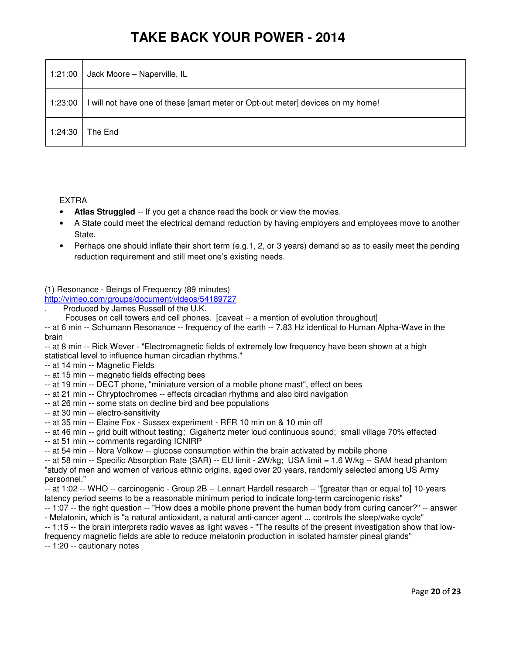| 1:21:00 | Jack Moore - Naperville, IL                                                     |
|---------|---------------------------------------------------------------------------------|
| 1:23:00 | I will not have one of these [smart meter or Opt-out meter] devices on my home! |
| 1:24:30 | The End                                                                         |

#### EXTRA

- **Atlas Struggled** -- If you get a chance read the book or view the movies.
- A State could meet the electrical demand reduction by having employers and employees move to another State.
- Perhaps one should inflate their short term (e.g.1, 2, or 3 years) demand so as to easily meet the pending reduction requirement and still meet one's existing needs.

(1) Resonance - Beings of Frequency (89 minutes)

http://vimeo.com/groups/document/videos/54189727

. Produced by James Russell of the U.K.

Focuses on cell towers and cell phones. [caveat -- a mention of evolution throughout]

-- at 6 min -- Schumann Resonance -- frequency of the earth -- 7.83 Hz identical to Human Alpha-Wave in the brain

-- at 8 min -- Rick Wever - "Electromagnetic fields of extremely low frequency have been shown at a high statistical level to influence human circadian rhythms."

- -- at 14 min -- Magnetic Fields
- -- at 15 min -- magnetic fields effecting bees
- -- at 19 min -- DECT phone, "miniature version of a mobile phone mast", effect on bees
- -- at 21 min -- Chryptochromes -- effects circadian rhythms and also bird navigation
- -- at 26 min -- some stats on decline bird and bee populations
- -- at 30 min -- electro-sensitivity

-- at 35 min -- Elaine Fox - Sussex experiment - RFR 10 min on & 10 min off

-- at 46 min -- grid built without testing; Gigahertz meter loud continuous sound; small village 70% effected

-- at 51 min -- comments regarding ICNIRP

-- at 54 min -- Nora Volkow -- glucose consumption within the brain activated by mobile phone

-- at 58 min -- Specific Absorption Rate (SAR) -- EU limit - 2W/kg; USA limit = 1.6 W/kg -- SAM head phantom "study of men and women of various ethnic origins, aged over 20 years, randomly selected among US Army personnel."

-- at 1:02 -- WHO -- carcinogenic - Group 2B -- Lennart Hardell research -- "[greater than or equal to] 10-years latency period seems to be a reasonable minimum period to indicate long-term carcinogenic risks"

-- 1:07 -- the right question -- "How does a mobile phone prevent the human body from curing cancer?" -- answer - Melatonin, which is "a natural antioxidant, a natural anti-cancer agent ... controls the sleep/wake cycle"

-- 1:15 -- the brain interprets radio waves as light waves - "The results of the present investigation show that lowfrequency magnetic fields are able to reduce melatonin production in isolated hamster pineal glands"

-- 1:20 -- cautionary notes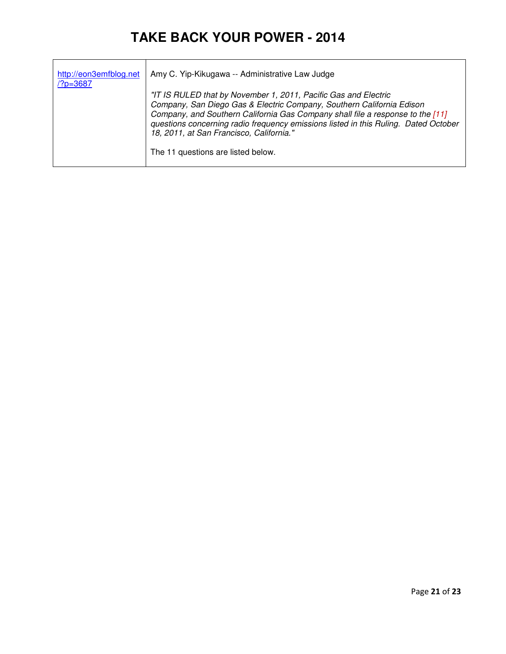| http://eon3emfblog.net<br>$/?p = 3687$ | Amy C. Yip-Kikugawa -- Administrative Law Judge                                                                                                                                                                                                                                                                                                                                                     |
|----------------------------------------|-----------------------------------------------------------------------------------------------------------------------------------------------------------------------------------------------------------------------------------------------------------------------------------------------------------------------------------------------------------------------------------------------------|
|                                        | "IT IS RULED that by November 1, 2011, Pacific Gas and Electric<br>Company, San Diego Gas & Electric Company, Southern California Edison<br>Company, and Southern California Gas Company shall file a response to the [11]<br>questions concerning radio frequency emissions listed in this Ruling. Dated October<br>18, 2011, at San Francisco, California."<br>The 11 questions are listed below. |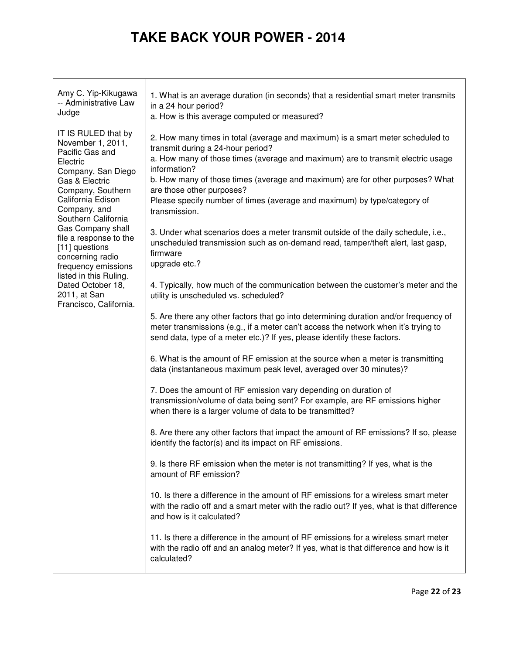| Amy C. Yip-Kikugawa<br>-- Administrative Law<br>Judge                                                    | 1. What is an average duration (in seconds) that a residential smart meter transmits<br>in a 24 hour period?<br>a. How is this average computed or measured?                                                                                           |
|----------------------------------------------------------------------------------------------------------|--------------------------------------------------------------------------------------------------------------------------------------------------------------------------------------------------------------------------------------------------------|
| IT IS RULED that by<br>November 1, 2011,<br>Pacific Gas and<br>Electric<br>Company, San Diego            | 2. How many times in total (average and maximum) is a smart meter scheduled to<br>transmit during a 24-hour period?<br>a. How many of those times (average and maximum) are to transmit electric usage<br>information?                                 |
| Gas & Electric<br>Company, Southern<br>California Edison<br>Company, and<br>Southern California          | b. How many of those times (average and maximum) are for other purposes? What<br>are those other purposes?<br>Please specify number of times (average and maximum) by type/category of<br>transmission.                                                |
| Gas Company shall<br>file a response to the<br>[11] questions<br>concerning radio<br>frequency emissions | 3. Under what scenarios does a meter transmit outside of the daily schedule, i.e.,<br>unscheduled transmission such as on-demand read, tamper/theft alert, last gasp,<br>firmware<br>upgrade etc.?                                                     |
| listed in this Ruling.<br>Dated October 18,<br>2011, at San<br>Francisco, California.                    | 4. Typically, how much of the communication between the customer's meter and the<br>utility is unscheduled vs. scheduled?                                                                                                                              |
|                                                                                                          | 5. Are there any other factors that go into determining duration and/or frequency of<br>meter transmissions (e.g., if a meter can't access the network when it's trying to<br>send data, type of a meter etc.)? If yes, please identify these factors. |
|                                                                                                          | 6. What is the amount of RF emission at the source when a meter is transmitting<br>data (instantaneous maximum peak level, averaged over 30 minutes)?                                                                                                  |
|                                                                                                          | 7. Does the amount of RF emission vary depending on duration of<br>transmission/volume of data being sent? For example, are RF emissions higher<br>when there is a larger volume of data to be transmitted?                                            |
|                                                                                                          | 8. Are there any other factors that impact the amount of RF emissions? If so, please<br>identify the factor(s) and its impact on RF emissions.                                                                                                         |
|                                                                                                          | 9. Is there RF emission when the meter is not transmitting? If yes, what is the<br>amount of RF emission?                                                                                                                                              |
|                                                                                                          | 10. Is there a difference in the amount of RF emissions for a wireless smart meter<br>with the radio off and a smart meter with the radio out? If yes, what is that difference<br>and how is it calculated?                                            |
|                                                                                                          | 11. Is there a difference in the amount of RF emissions for a wireless smart meter<br>with the radio off and an analog meter? If yes, what is that difference and how is it<br>calculated?                                                             |